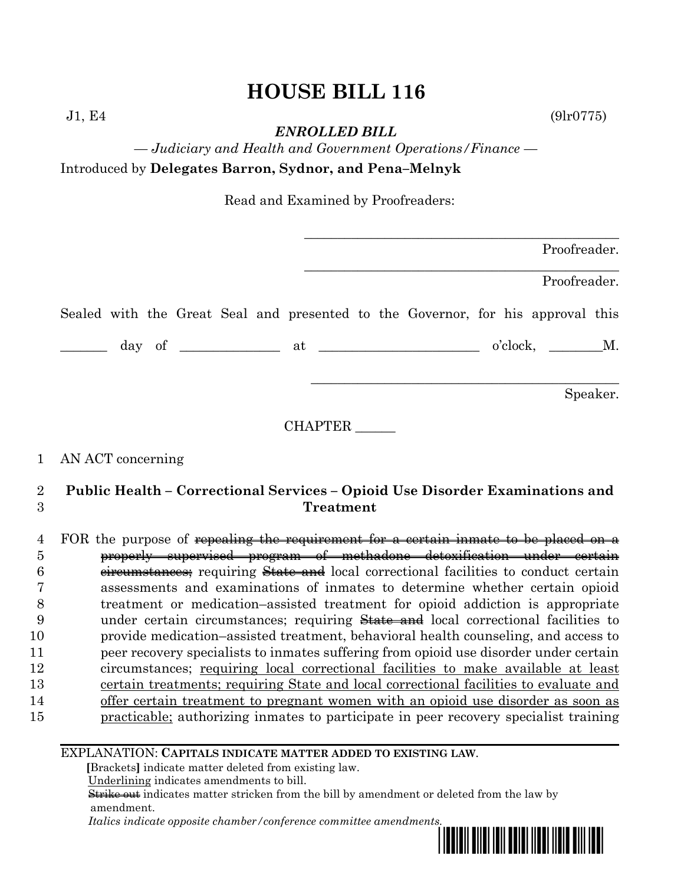# **HOUSE BILL 116**

*ENROLLED BILL*

*— Judiciary and Health and Government Operations/Finance —* Introduced by **Delegates Barron, Sydnor, and Pena–Melnyk**

Read and Examined by Proofreaders:

|  |  |  |         |  |                                                                                                                                                                                                                                                                                                                                                                                                                                 |  | Proofreader. |          |
|--|--|--|---------|--|---------------------------------------------------------------------------------------------------------------------------------------------------------------------------------------------------------------------------------------------------------------------------------------------------------------------------------------------------------------------------------------------------------------------------------|--|--------------|----------|
|  |  |  |         |  |                                                                                                                                                                                                                                                                                                                                                                                                                                 |  | Proofreader. |          |
|  |  |  |         |  | Sealed with the Great Seal and presented to the Governor, for his approval this                                                                                                                                                                                                                                                                                                                                                 |  |              |          |
|  |  |  |         |  | $\frac{1}{\sqrt{1-\frac{1}{2}}}\frac{1}{\sqrt{1-\frac{1}{2}}}\frac{1}{\sqrt{1-\frac{1}{2}}}\frac{1}{\sqrt{1-\frac{1}{2}}}\frac{1}{\sqrt{1-\frac{1}{2}}}\frac{1}{\sqrt{1-\frac{1}{2}}}\frac{1}{\sqrt{1-\frac{1}{2}}}\frac{1}{\sqrt{1-\frac{1}{2}}}\frac{1}{\sqrt{1-\frac{1}{2}}}\frac{1}{\sqrt{1-\frac{1}{2}}}\frac{1}{\sqrt{1-\frac{1}{2}}}\frac{1}{\sqrt{1-\frac{1}{2}}}\frac{1}{\sqrt{1-\frac{1}{2}}}\frac{1}{\sqrt{1-\frac{$ |  |              |          |
|  |  |  |         |  |                                                                                                                                                                                                                                                                                                                                                                                                                                 |  |              | Speaker. |
|  |  |  | CHAPTER |  |                                                                                                                                                                                                                                                                                                                                                                                                                                 |  |              |          |

### 1 AN ACT concerning

# 2 **Public Health – Correctional Services – Opioid Use Disorder Examinations and**  3 **Treatment**

4 FOR the purpose of repealing the requirement for a certain inmate to be placed on a properly supervised program of methadone detoxification under certain 6 componentances; requiring State and local correctional facilities to conduct certain assessments and examinations of inmates to determine whether certain opioid treatment or medication–assisted treatment for opioid addiction is appropriate 9 under certain circumstances; requiring State and local correctional facilities to provide medication–assisted treatment, behavioral health counseling, and access to peer recovery specialists to inmates suffering from opioid use disorder under certain circumstances; requiring local correctional facilities to make available at least certain treatments; requiring State and local correctional facilities to evaluate and offer certain treatment to pregnant women with an opioid use disorder as soon as **practicable**; authorizing inmates to participate in peer recovery specialist training

EXPLANATION: **CAPITALS INDICATE MATTER ADDED TO EXISTING LAW**.

 **[**Brackets**]** indicate matter deleted from existing law.

Underlining indicates amendments to bill.

 Strike out indicates matter stricken from the bill by amendment or deleted from the law by amendment.

 *Italics indicate opposite chamber/conference committee amendments.*



 $J1, E4$  (9lr0775)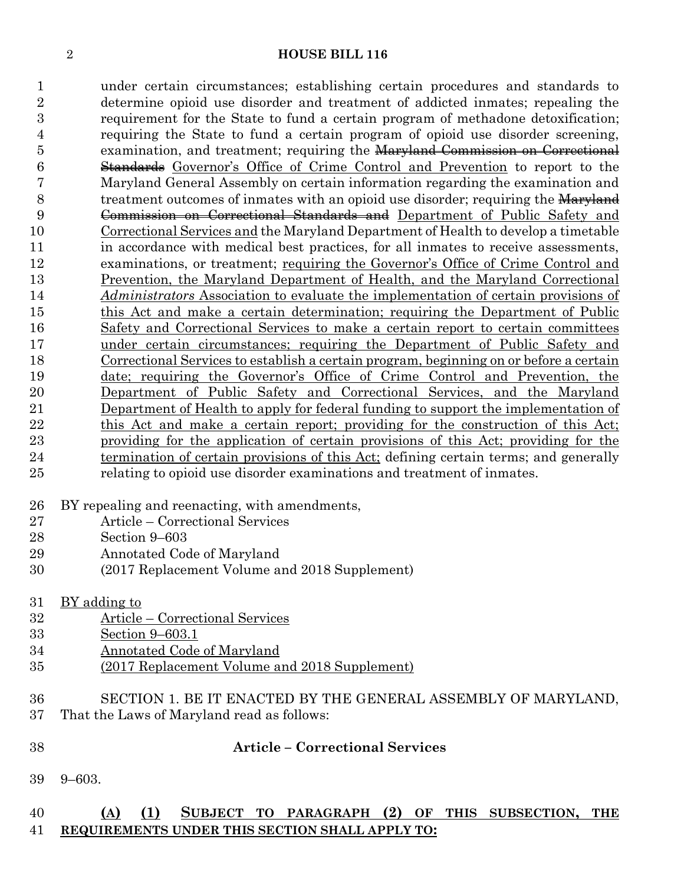#### **HOUSE BILL 116**

 under certain circumstances; establishing certain procedures and standards to determine opioid use disorder and treatment of addicted inmates; repealing the requirement for the State to fund a certain program of methadone detoxification; requiring the State to fund a certain program of opioid use disorder screening, 5 examination, and treatment; requiring the Maryland Commission on Correctional Standards Governor's Office of Crime Control and Prevention to report to the Maryland General Assembly on certain information regarding the examination and 8 treatment outcomes of inmates with an opioid use disorder; requiring the Maryland Commission on Correctional Standards and Department of Public Safety and Correctional Services and the Maryland Department of Health to develop a timetable in accordance with medical best practices, for all inmates to receive assessments, examinations, or treatment; requiring the Governor's Office of Crime Control and Prevention, the Maryland Department of Health, and the Maryland Correctional *Administrators* Association to evaluate the implementation of certain provisions of this Act and make a certain determination; requiring the Department of Public Safety and Correctional Services to make a certain report to certain committees under certain circumstances; requiring the Department of Public Safety and 18 Correctional Services to <u>establish a certain program, beginning on or before a certain</u> date; requiring the Governor's Office of Crime Control and Prevention, the Department of Public Safety and Correctional Services, and the Maryland Department of Health to apply for federal funding to support the implementation of 22 this Act and make a certain report; providing for the construction of this Act; providing for the application of certain provisions of this Act; providing for the termination of certain provisions of this Act; defining certain terms; and generally relating to opioid use disorder examinations and treatment of inmates.

- BY repealing and reenacting, with amendments,
- Article Correctional Services
- Section 9–603
- Annotated Code of Maryland
- (2017 Replacement Volume and 2018 Supplement)

| 31<br>BY adding to |  |
|--------------------|--|
|--------------------|--|

- Article Correctional Services
- Section 9–603.1
- Annotated Code of Maryland
- (2017 Replacement Volume and 2018 Supplement)
- SECTION 1. BE IT ENACTED BY THE GENERAL ASSEMBLY OF MARYLAND,
- That the Laws of Maryland read as follows:
- **Article – Correctional Services**
- 9–603.

## **(A) (1) SUBJECT TO PARAGRAPH (2) OF THIS SUBSECTION, THE REQUIREMENTS UNDER THIS SECTION SHALL APPLY TO:**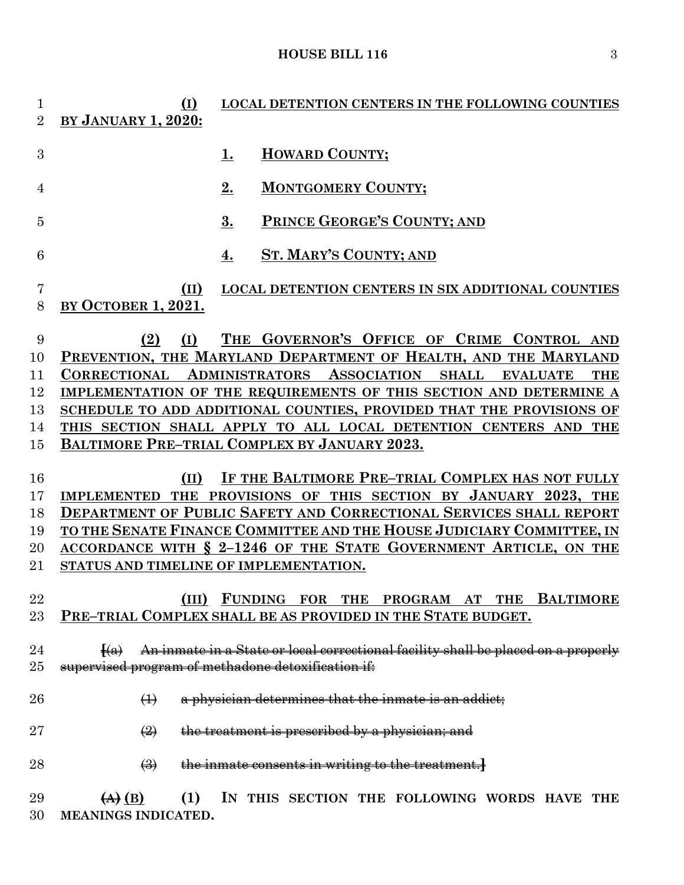## **HOUSE BILL 116** 3

| 1<br>$\overline{2}$ | ( <u>I)</u><br><b>BY JANUARY 1, 2020:</b>                     | <b>LOCAL DETENTION CENTERS IN THE FOLLOWING COUNTIES</b>                                                      |
|---------------------|---------------------------------------------------------------|---------------------------------------------------------------------------------------------------------------|
| 3                   |                                                               | <b>HOWARD COUNTY;</b><br>1.                                                                                   |
| 4                   |                                                               | 2.<br><b>MONTGOMERY COUNTY;</b>                                                                               |
| 5                   |                                                               | 3.<br>PRINCE GEORGE'S COUNTY; AND                                                                             |
| 6                   |                                                               | <b>ST. MARY'S COUNTY; AND</b><br>4.                                                                           |
| 7<br>8              | (II)<br><b>BY OCTOBER 1, 2021.</b>                            | LOCAL DETENTION CENTERS IN SIX ADDITIONAL COUNTIES                                                            |
| 9                   | (2)<br>(I)                                                    | THE GOVERNOR'S OFFICE OF CRIME CONTROL AND<br>PREVENTION, THE MARYLAND DEPARTMENT OF HEALTH, AND THE MARYLAND |
| 10                  | <b>CORRECTIONAL</b>                                           | <b>ADMINISTRATORS ASSOCIATION</b><br><b>SHALL</b><br><b>EVALUATE</b>                                          |
| 11<br>12            |                                                               | <b>THE</b><br>IMPLEMENTATION OF THE REQUIREMENTS OF THIS SECTION AND DETERMINE A                              |
| 13                  |                                                               | SCHEDULE TO ADD ADDITIONAL COUNTIES, PROVIDED THAT THE PROVISIONS OF                                          |
| 14                  |                                                               | THIS SECTION SHALL APPLY TO ALL LOCAL DETENTION CENTERS AND THE                                               |
| 15                  |                                                               | BALTIMORE PRE-TRIAL COMPLEX BY JANUARY 2023.                                                                  |
|                     |                                                               |                                                                                                               |
| 16                  | (II)                                                          | IF THE BALTIMORE PRE-TRIAL COMPLEX HAS NOT FULLY                                                              |
| 17                  |                                                               | IMPLEMENTED THE PROVISIONS OF THIS SECTION BY JANUARY 2023, THE                                               |
| 18                  |                                                               | DEPARTMENT OF PUBLIC SAFETY AND CORRECTIONAL SERVICES SHALL REPORT                                            |
| 19                  |                                                               | TO THE SENATE FINANCE COMMITTEE AND THE HOUSE JUDICIARY COMMITTEE, IN                                         |
| 20                  |                                                               | ACCORDANCE WITH § 2-1246 OF THE STATE GOVERNMENT ARTICLE, ON THE                                              |
| 21                  |                                                               | STATUS AND TIMELINE OF IMPLEMENTATION.                                                                        |
|                     |                                                               |                                                                                                               |
| 22                  |                                                               | (III) FUNDING FOR THE PROGRAM AT THE BALTIMORE                                                                |
| $23\,$              |                                                               | PRE-TRIAL COMPLEX SHALL BE AS PROVIDED IN THE STATE BUDGET.                                                   |
|                     |                                                               |                                                                                                               |
| 24                  |                                                               | $\{a\}$ An inmate in a State or local correctional facility shall be placed on a properly                     |
| $25\,$              |                                                               | supervised program of methadone detoxification if:                                                            |
| 26                  | $\leftrightarrow$                                             | a physician determines that the inmate is an addict;                                                          |
| $27\,$              | $\left(\frac{2}{2}\right)$                                    | the treatment is prescribed by a physician; and                                                               |
| 28                  | $\left(\frac{1}{2}\right)$                                    | the inmate consents in writing to the treatment.                                                              |
| 29                  | $\left(\underline{A}\right)\left(\underline{B}\right)$<br>(1) | IN THIS SECTION THE FOLLOWING WORDS HAVE THE                                                                  |

**MEANINGS INDICATED.**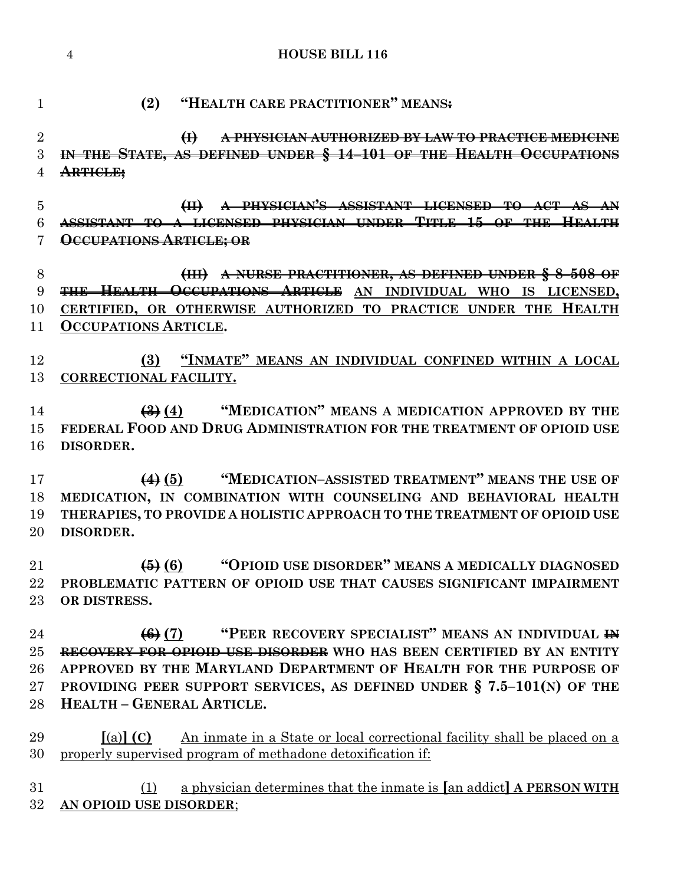#### **HOUSE BILL 116**

**(2) "HEALTH CARE PRACTITIONER" MEANS:**

 **(I) A PHYSICIAN AUTHORIZED BY LAW TO PRACTICE MEDICINE IN THE STATE, AS DEFINED UNDER § 14–101 OF THE HEALTH OCCUPATIONS ARTICLE;**

 **(II) A PHYSICIAN'S ASSISTANT LICENSED TO ACT AS AN ASSISTANT TO A LICENSED PHYSICIAN UNDER TITLE 15 OF THE HEALTH OCCUPATIONS ARTICLE; OR** 

 **(III) A NURSE PRACTITIONER, AS DEFINED UNDER § 8–508 OF THE HEALTH OCCUPATIONS ARTICLE AN INDIVIDUAL WHO IS LICENSED, CERTIFIED, OR OTHERWISE AUTHORIZED TO PRACTICE UNDER THE HEALTH OCCUPATIONS ARTICLE.**

 **(3) "INMATE" MEANS AN INDIVIDUAL CONFINED WITHIN A LOCAL CORRECTIONAL FACILITY.**

 **(3) (4) "MEDICATION" MEANS A MEDICATION APPROVED BY THE FEDERAL FOOD AND DRUG ADMINISTRATION FOR THE TREATMENT OF OPIOID USE DISORDER.**

 **(4) (5) "MEDICATION–ASSISTED TREATMENT" MEANS THE USE OF MEDICATION, IN COMBINATION WITH COUNSELING AND BEHAVIORAL HEALTH THERAPIES, TO PROVIDE A HOLISTIC APPROACH TO THE TREATMENT OF OPIOID USE DISORDER.**

 **(5) (6) "OPIOID USE DISORDER" MEANS A MEDICALLY DIAGNOSED PROBLEMATIC PATTERN OF OPIOID USE THAT CAUSES SIGNIFICANT IMPAIRMENT OR DISTRESS.**

 **(6) (7) "PEER RECOVERY SPECIALIST" MEANS AN INDIVIDUAL IN RECOVERY FOR OPIOID USE DISORDER WHO HAS BEEN CERTIFIED BY AN ENTITY APPROVED BY THE MARYLAND DEPARTMENT OF HEALTH FOR THE PURPOSE OF PROVIDING PEER SUPPORT SERVICES, AS DEFINED UNDER § 7.5–101(N) OF THE HEALTH – GENERAL ARTICLE.**

 **[**(a)**] (C)** An inmate in a State or local correctional facility shall be placed on a properly supervised program of methadone detoxification if:

 (1) a physician determines that the inmate is **[**an addict**] A PERSON WITH AN OPIOID USE DISORDER**;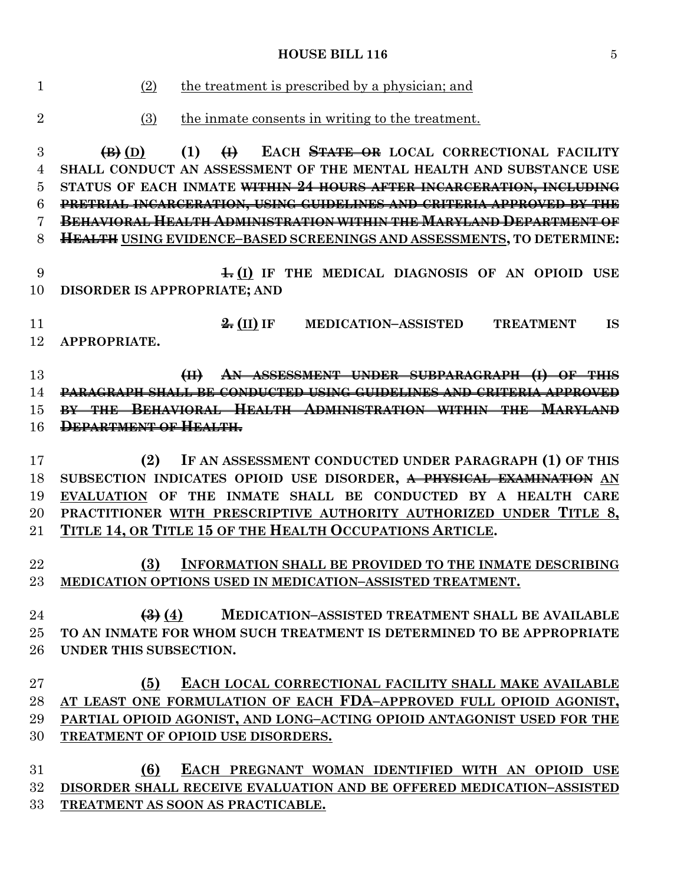(2) the treatment is prescribed by a physician; and (3) the inmate consents in writing to the treatment. **(B) (D) (1) (I) EACH STATE OR LOCAL CORRECTIONAL FACILITY SHALL CONDUCT AN ASSESSMENT OF THE MENTAL HEALTH AND SUBSTANCE USE STATUS OF EACH INMATE WITHIN 24 HOURS AFTER INCARCERATION, INCLUDING PRETRIAL INCARCERATION, USING GUIDELINES AND CRITERIA APPROVED BY THE BEHAVIORAL HEALTH ADMINISTRATION WITHIN THE MARYLAND DEPARTMENT OF HEALTH USING EVIDENCE–BASED SCREENINGS AND ASSESSMENTS, TO DETERMINE: 1. (I) IF THE MEDICAL DIAGNOSIS OF AN OPIOID USE DISORDER IS APPROPRIATE; AND 2. (II) IF MEDICATION–ASSISTED TREATMENT IS APPROPRIATE. (II) AN ASSESSMENT UNDER SUBPARAGRAPH (I) OF THIS PARAGRAPH SHALL BE CONDUCTED USING GUIDELINES AND CRITERIA APPROVED BY THE BEHAVIORAL HEALTH ADMINISTRATION WITHIN THE MARYLAND DEPARTMENT OF HEALTH. (2) IF AN ASSESSMENT CONDUCTED UNDER PARAGRAPH (1) OF THIS SUBSECTION INDICATES OPIOID USE DISORDER, A PHYSICAL EXAMINATION AN EVALUATION OF THE INMATE SHALL BE CONDUCTED BY A HEALTH CARE PRACTITIONER WITH PRESCRIPTIVE AUTHORITY AUTHORIZED UNDER TITLE 8, TITLE 14, OR TITLE 15 OF THE HEALTH OCCUPATIONS ARTICLE. (3) INFORMATION SHALL BE PROVIDED TO THE INMATE DESCRIBING MEDICATION OPTIONS USED IN MEDICATION–ASSISTED TREATMENT. (3) (4) MEDICATION–ASSISTED TREATMENT SHALL BE AVAILABLE TO AN INMATE FOR WHOM SUCH TREATMENT IS DETERMINED TO BE APPROPRIATE UNDER THIS SUBSECTION. (5) EACH LOCAL CORRECTIONAL FACILITY SHALL MAKE AVAILABLE AT LEAST ONE FORMULATION OF EACH FDA–APPROVED FULL OPIOID AGONIST, PARTIAL OPIOID AGONIST, AND LONG–ACTING OPIOID ANTAGONIST USED FOR THE TREATMENT OF OPIOID USE DISORDERS. (6) EACH PREGNANT WOMAN IDENTIFIED WITH AN OPIOID USE DISORDER SHALL RECEIVE EVALUATION AND BE OFFERED MEDICATION–ASSISTED** 

**HOUSE BILL 116** 5

**TREATMENT AS SOON AS PRACTICABLE.**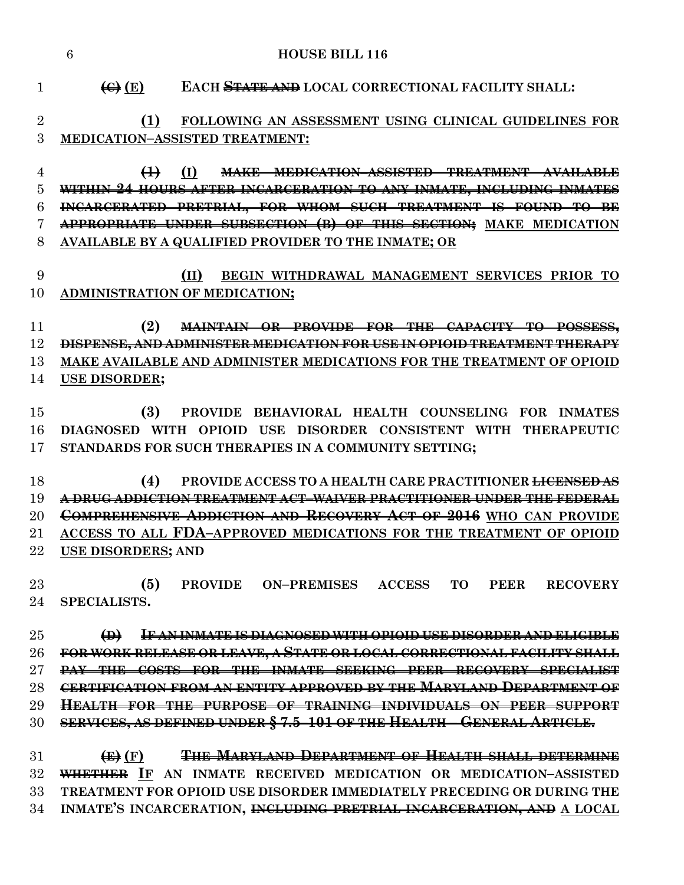|                | $\overline{6}$<br><b>HOUSE BILL 116</b>                                           |
|----------------|-----------------------------------------------------------------------------------|
| $\mathbf{1}$   | $\left(\bigoplus\right)$ (E)<br>EACH STATE AND LOCAL CORRECTIONAL FACILITY SHALL: |
| $\overline{2}$ | (1)<br>FOLLOWING AN ASSESSMENT USING CLINICAL GUIDELINES FOR                      |
| 3              | MEDICATION-ASSISTED TREATMENT:                                                    |
| 4              | (I)<br>$\leftrightarrow$<br><b>MAKE MEDICATION-ASSISTED TREATMENT AVAILABLE</b>   |
| $\overline{5}$ | WITHIN 24 HOURS AFTER INCARCERATION TO ANY INMATE, INCLUDING INMATES              |
| 6              | INCARCERATED PRETRIAL, FOR WHOM SUCH TREATMENT IS FOUND TO BE                     |
| 7              | APPROPRIATE UNDER SUBSECTION (B) OF THIS SECTION; MAKE MEDICATION                 |
| 8              | AVAILABLE BY A QUALIFIED PROVIDER TO THE INMATE; OR                               |
|                |                                                                                   |
| 9              | BEGIN WITHDRAWAL MANAGEMENT SERVICES PRIOR TO<br>(II)                             |
| 10             | ADMINISTRATION OF MEDICATION;                                                     |
|                |                                                                                   |
| 11             | (2)<br>MAINTAIN OR PROVIDE FOR THE CAPACITY TO POSSESS,                           |
| 12             | DISPENSE, AND ADMINISTER MEDICATION FOR USE IN OPIOID TREATMENT THERAPY           |
| 13             | MAKE AVAILABLE AND ADMINISTER MEDICATIONS FOR THE TREATMENT OF OPIOID             |
| 14             | <b>USE DISORDER;</b>                                                              |
|                |                                                                                   |
| 15             | PROVIDE BEHAVIORAL HEALTH COUNSELING FOR INMATES<br>(3)                           |
| 16             | DIAGNOSED WITH OPIOID USE DISORDER CONSISTENT WITH THERAPEUTIC                    |
| 17             | STANDARDS FOR SUCH THERAPIES IN A COMMUNITY SETTING;                              |
|                |                                                                                   |
| 18             | PROVIDE ACCESS TO A HEALTH CARE PRACTITIONER <del>LICENSED AS</del><br>(4)        |
| 19             | A DRUG ADDICTION TREATMENT ACT-WAIVER PRACTITIONER UNDER THE FEDERAL              |
| 20             | COMPREHENSIVE ADDICTION AND RECOVERY ACT OF 2016 WHO CAN PROVIDE                  |
| 21             | ACCESS TO ALL FDA-APPROVED MEDICATIONS FOR THE TREATMENT OF OPIOID                |
| $22\,$         | <b>USE DISORDERS; AND</b>                                                         |
|                |                                                                                   |
| 23             | (5)<br>PROVIDE ON-PREMISES ACCESS TO<br><b>PEER</b><br><b>RECOVERY</b>            |
| 24             | SPECIALISTS.                                                                      |
|                |                                                                                   |
| 25             | IF AN INMATE IS DIAGNOSED WITH OPIOID USE DISORDER AND ELIGIBLE<br>$\bigoplus$    |
| 26             | FOR WORK RELEASE OR LEAVE, A STATE OR LOCAL CORRECTIONAL FACILITY SHALL           |
| $27\,$         | <b>PAY THE COSTS FOR THE INMATE SEEKING PEER RECOVERY SPECIALIST</b>              |
| 28             | <b>CERTIFICATION FROM AN ENTITY APPROVED BY THE MARYLAND DEPARTMENT OF</b>        |
| 29             | <b>HEALTH FOR THE PURPOSE OF TRAINING INDIVIDUALS ON PEER SUPPORT</b>             |
| 30             | SERVICES, AS DEFINED UNDER § 7.5-101 OF THE HEALTH - GENERAL ARTICLE.             |

 **(E) (F) THE MARYLAND DEPARTMENT OF HEALTH SHALL DETERMINE WHETHER IF AN INMATE RECEIVED MEDICATION OR MEDICATION–ASSISTED TREATMENT FOR OPIOID USE DISORDER IMMEDIATELY PRECEDING OR DURING THE INMATE'S INCARCERATION, INCLUDING PRETRIAL INCARCERATION, AND A LOCAL**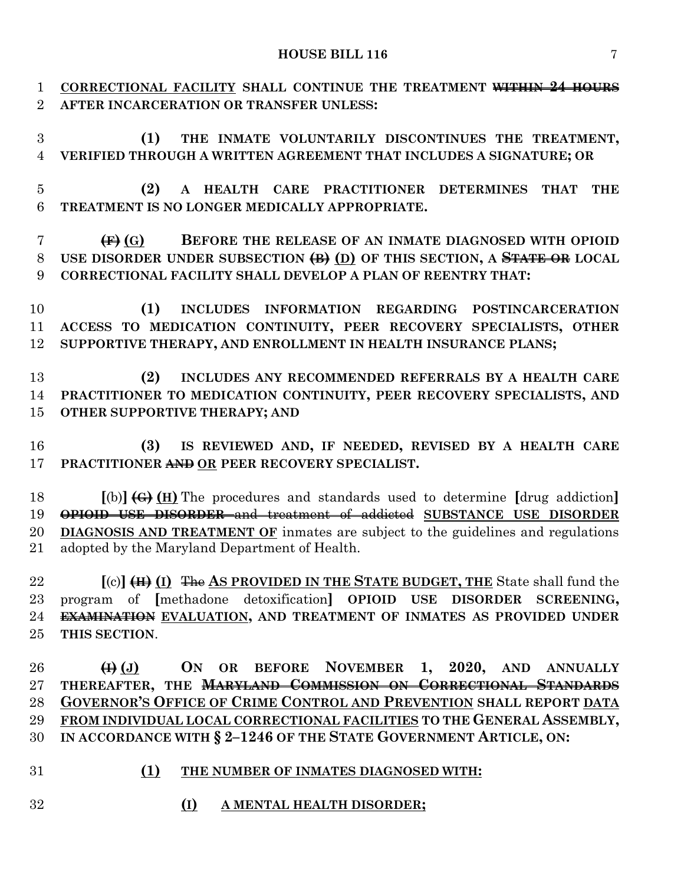### **HOUSE BILL 116** 7

 **CORRECTIONAL FACILITY SHALL CONTINUE THE TREATMENT WITHIN 24 HOURS AFTER INCARCERATION OR TRANSFER UNLESS:**

 **(1) THE INMATE VOLUNTARILY DISCONTINUES THE TREATMENT, VERIFIED THROUGH A WRITTEN AGREEMENT THAT INCLUDES A SIGNATURE; OR** 

 **(2) A HEALTH CARE PRACTITIONER DETERMINES THAT THE TREATMENT IS NO LONGER MEDICALLY APPROPRIATE.**

 **(F) (G) BEFORE THE RELEASE OF AN INMATE DIAGNOSED WITH OPIOID USE DISORDER UNDER SUBSECTION (B) (D) OF THIS SECTION, A STATE OR LOCAL CORRECTIONAL FACILITY SHALL DEVELOP A PLAN OF REENTRY THAT:**

 **(1) INCLUDES INFORMATION REGARDING POSTINCARCERATION ACCESS TO MEDICATION CONTINUITY, PEER RECOVERY SPECIALISTS, OTHER SUPPORTIVE THERAPY, AND ENROLLMENT IN HEALTH INSURANCE PLANS;**

 **(2) INCLUDES ANY RECOMMENDED REFERRALS BY A HEALTH CARE PRACTITIONER TO MEDICATION CONTINUITY, PEER RECOVERY SPECIALISTS, AND OTHER SUPPORTIVE THERAPY; AND**

 **(3) IS REVIEWED AND, IF NEEDED, REVISED BY A HEALTH CARE PRACTITIONER AND OR PEER RECOVERY SPECIALIST.**

 **[**(b)**] (G) (H)** The procedures and standards used to determine **[**drug addiction**] OPIOID USE DISORDER** and treatment of addicted **SUBSTANCE USE DISORDER DIAGNOSIS AND TREATMENT OF** inmates are subject to the guidelines and regulations adopted by the Maryland Department of Health.

 **[**(c)**] (H) (I)** The **AS PROVIDED IN THE STATE BUDGET, THE** State shall fund the program of **[**methadone detoxification**] OPIOID USE DISORDER SCREENING, EXAMINATION EVALUATION, AND TREATMENT OF INMATES AS PROVIDED UNDER THIS SECTION**.

 **(I) (J) ON OR BEFORE NOVEMBER 1, 2020, AND ANNUALLY THEREAFTER, THE MARYLAND COMMISSION ON CORRECTIONAL STANDARDS GOVERNOR'S OFFICE OF CRIME CONTROL AND PREVENTION SHALL REPORT DATA FROM INDIVIDUAL LOCAL CORRECTIONAL FACILITIES TO THE GENERAL ASSEMBLY, IN ACCORDANCE WITH § 2–1246 OF THE STATE GOVERNMENT ARTICLE, ON:**

- **(1) THE NUMBER OF INMATES DIAGNOSED WITH:**
- **(I) A MENTAL HEALTH DISORDER;**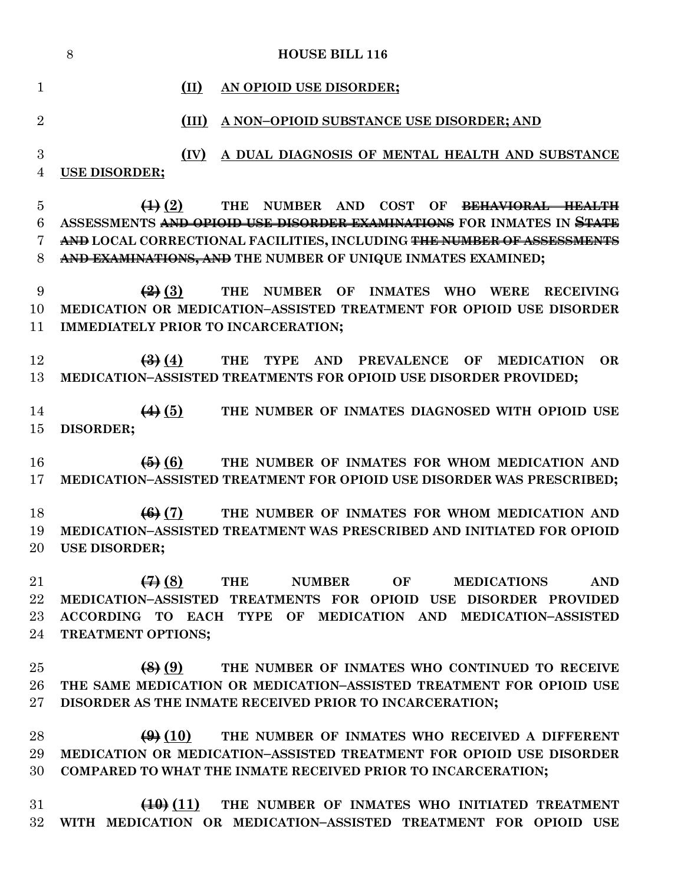|                                    | 8<br><b>HOUSE BILL 116</b>                                                                                                       |
|------------------------------------|----------------------------------------------------------------------------------------------------------------------------------|
| $\mathbf{1}$                       | (II)<br>AN OPIOID USE DISORDER;                                                                                                  |
| $\overline{2}$                     | A NON-OPIOID SUBSTANCE USE DISORDER; AND<br>(III)                                                                                |
| $\boldsymbol{3}$<br>$\overline{4}$ | A DUAL DIAGNOSIS OF MENTAL HEALTH AND SUBSTANCE<br>(IV)<br>USE DISORDER;                                                         |
| $\overline{5}$                     | $\bigoplus (2)$<br>THE NUMBER AND COST OF<br>BEHAVIORAL HEALTH                                                                   |
| 6                                  | ASSESSMENTS <del>AND OPIOID USE DISORDER EXAMINATIONS</del> FOR INMATES IN <del>STATE</del>                                      |
| 7                                  | AND LOCAL CORRECTIONAL FACILITIES, INCLUDING <del>THE NUMBER OF ASSESSMENTS</del>                                                |
| 8                                  | AND EXAMINATIONS, AND THE NUMBER OF UNIQUE INMATES EXAMINED;                                                                     |
| 9                                  | $\left( 2\right) (3)$<br>THE NUMBER OF INMATES WHO<br><b>WERE</b><br><b>RECEIVING</b>                                            |
| 10                                 | MEDICATION OR MEDICATION-ASSISTED TREATMENT FOR OPIOID USE DISORDER                                                              |
| 11                                 | IMMEDIATELY PRIOR TO INCARCERATION;                                                                                              |
|                                    |                                                                                                                                  |
| 12                                 | $\left(4\right)$ $\left(4\right)$<br>THE TYPE AND PREVALENCE OF MEDICATION<br><b>OR</b>                                          |
| 13                                 | MEDICATION-ASSISTED TREATMENTS FOR OPIOID USE DISORDER PROVIDED;                                                                 |
| 14                                 | $\left(4\right)$ (5) THE NUMBER OF INMATES DIAGNOSED WITH OPIOID USE                                                             |
| 15                                 | DISORDER;                                                                                                                        |
|                                    |                                                                                                                                  |
| 16                                 | $\left( 5 \right)$ $\left( 6 \right)$<br>THE NUMBER OF INMATES FOR WHOM MEDICATION AND                                           |
| 17                                 | MEDICATION-ASSISTED TREATMENT FOR OPIOID USE DISORDER WAS PRESCRIBED;                                                            |
|                                    |                                                                                                                                  |
| 18<br>19                           | (6)(7)<br>THE NUMBER OF INMATES FOR WHOM MEDICATION AND<br>MEDICATION-ASSISTED TREATMENT WAS PRESCRIBED AND INITIATED FOR OPIOID |
| 20                                 | USE DISORDER;                                                                                                                    |
|                                    |                                                                                                                                  |
| 21                                 | $\left( 4 \right) (8)$<br>OF<br>THE<br><b>NUMBER</b><br><b>MEDICATIONS</b><br><b>AND</b>                                         |
| 22                                 | MEDICATION-ASSISTED TREATMENTS FOR OPIOID USE DISORDER PROVIDED                                                                  |
| $23\,$                             | ACCORDING TO EACH TYPE OF MEDICATION AND MEDICATION-ASSISTED                                                                     |
| 24                                 | TREATMENT OPTIONS;                                                                                                               |
| 25                                 | (8)(9)<br>THE NUMBER OF INMATES WHO CONTINUED TO RECEIVE                                                                         |
| 26                                 | THE SAME MEDICATION OR MEDICATION-ASSISTED TREATMENT FOR OPIOID USE                                                              |
| $\rm 27$                           | DISORDER AS THE INMATE RECEIVED PRIOR TO INCARCERATION;                                                                          |
|                                    |                                                                                                                                  |
| 28                                 | $\bigoplus$ (10) THE NUMBER OF INMATES WHO RECEIVED A DIFFERENT                                                                  |
| 29                                 | MEDICATION OR MEDICATION-ASSISTED TREATMENT FOR OPIOID USE DISORDER                                                              |
| 30                                 | COMPARED TO WHAT THE INMATE RECEIVED PRIOR TO INCARCERATION;                                                                     |
|                                    |                                                                                                                                  |
| $31\,$<br>$32\,$                   | $(10)(11)$ THE NUMBER OF INMATES WHO INITIATED TREATMENT<br>WITH MEDICATION OR MEDICATION-ASSISTED TREATMENT FOR OPIOID USE      |
|                                    |                                                                                                                                  |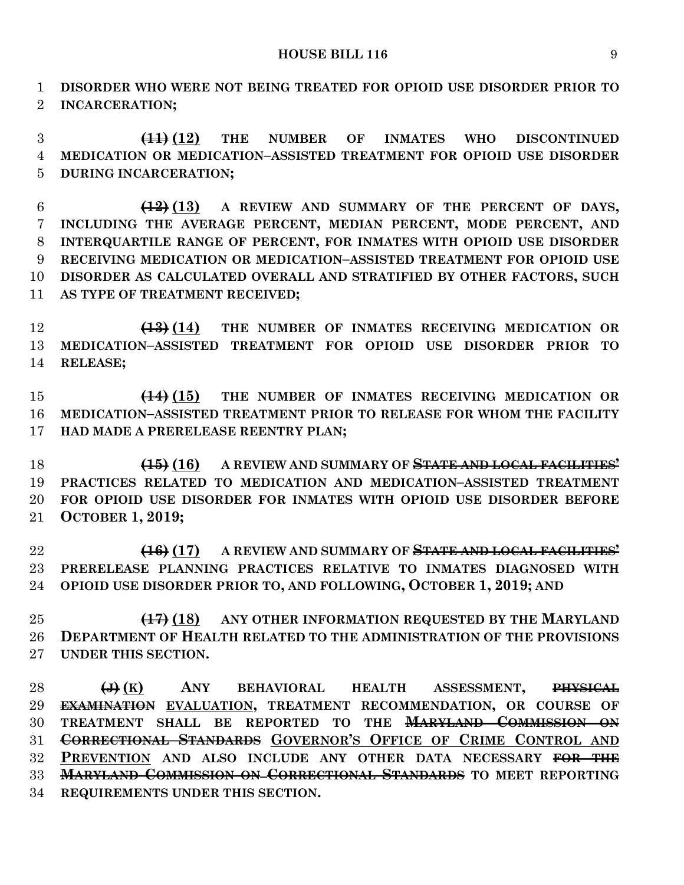#### **HOUSE BILL 116** 9

 **DISORDER WHO WERE NOT BEING TREATED FOR OPIOID USE DISORDER PRIOR TO INCARCERATION;**

 **(11) (12) THE NUMBER OF INMATES WHO DISCONTINUED MEDICATION OR MEDICATION–ASSISTED TREATMENT FOR OPIOID USE DISORDER DURING INCARCERATION;**

 **(12) (13) A REVIEW AND SUMMARY OF THE PERCENT OF DAYS, INCLUDING THE AVERAGE PERCENT, MEDIAN PERCENT, MODE PERCENT, AND INTERQUARTILE RANGE OF PERCENT, FOR INMATES WITH OPIOID USE DISORDER RECEIVING MEDICATION OR MEDICATION–ASSISTED TREATMENT FOR OPIOID USE DISORDER AS CALCULATED OVERALL AND STRATIFIED BY OTHER FACTORS, SUCH AS TYPE OF TREATMENT RECEIVED;**

 **(13) (14) THE NUMBER OF INMATES RECEIVING MEDICATION OR MEDICATION–ASSISTED TREATMENT FOR OPIOID USE DISORDER PRIOR TO RELEASE;**

 **(14) (15) THE NUMBER OF INMATES RECEIVING MEDICATION OR MEDICATION–ASSISTED TREATMENT PRIOR TO RELEASE FOR WHOM THE FACILITY HAD MADE A PRERELEASE REENTRY PLAN;**

 **(15) (16) A REVIEW AND SUMMARY OF STATE AND LOCAL FACILITIES' PRACTICES RELATED TO MEDICATION AND MEDICATION–ASSISTED TREATMENT FOR OPIOID USE DISORDER FOR INMATES WITH OPIOID USE DISORDER BEFORE OCTOBER 1, 2019;**

 **(16) (17) A REVIEW AND SUMMARY OF STATE AND LOCAL FACILITIES' PRERELEASE PLANNING PRACTICES RELATIVE TO INMATES DIAGNOSED WITH OPIOID USE DISORDER PRIOR TO, AND FOLLOWING, OCTOBER 1, 2019; AND**

 **(17) (18) ANY OTHER INFORMATION REQUESTED BY THE MARYLAND DEPARTMENT OF HEALTH RELATED TO THE ADMINISTRATION OF THE PROVISIONS UNDER THIS SECTION.**

 **(J) (K) ANY BEHAVIORAL HEALTH ASSESSMENT, PHYSICAL EXAMINATION EVALUATION, TREATMENT RECOMMENDATION, OR COURSE OF TREATMENT SHALL BE REPORTED TO THE MARYLAND COMMISSION ON CORRECTIONAL STANDARDS GOVERNOR'S OFFICE OF CRIME CONTROL AND PREVENTION AND ALSO INCLUDE ANY OTHER DATA NECESSARY FOR THE MARYLAND COMMISSION ON CORRECTIONAL STANDARDS TO MEET REPORTING REQUIREMENTS UNDER THIS SECTION.**